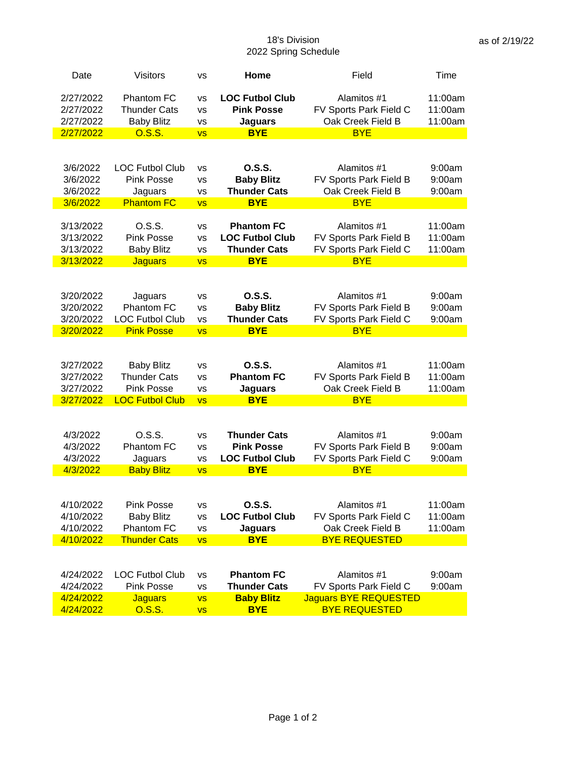## 18's Division 2022 Spring Schedule

| Date                 | <b>Visitors</b>              | <b>VS</b> | Home                                 | Field                                | Time    |
|----------------------|------------------------------|-----------|--------------------------------------|--------------------------------------|---------|
| 2/27/2022            | <b>Phantom FC</b>            | vs        | <b>LOC Futbol Club</b>               | Alamitos #1                          | 11:00am |
| 2/27/2022            | <b>Thunder Cats</b>          | VS        | <b>Pink Posse</b>                    | FV Sports Park Field C               | 11:00am |
| 2/27/2022            | <b>Baby Blitz</b>            | VS        | <b>Jaguars</b>                       | Oak Creek Field B                    | 11:00am |
| 2/27/2022            | 0.S.S.                       | <b>VS</b> | <b>BYE</b>                           | <b>BYE</b>                           |         |
|                      |                              |           |                                      |                                      |         |
|                      |                              |           |                                      |                                      |         |
| 3/6/2022             | <b>LOC Futbol Club</b>       | vs        | O.S.S.                               | Alamitos #1                          | 9:00am  |
| 3/6/2022             | <b>Pink Posse</b>            | <b>VS</b> | <b>Baby Blitz</b>                    | FV Sports Park Field B               | 9:00am  |
| 3/6/2022             | Jaguars                      | <b>VS</b> | <b>Thunder Cats</b>                  | Oak Creek Field B                    | 9:00am  |
| 3/6/2022             | <b>Phantom FC</b>            | <b>VS</b> | <b>BYE</b>                           | <b>BYE</b>                           |         |
|                      |                              |           |                                      |                                      |         |
| 3/13/2022            | O.S.S.                       | VS        | <b>Phantom FC</b>                    | Alamitos #1                          | 11:00am |
| 3/13/2022            | <b>Pink Posse</b>            | VS        | <b>LOC Futbol Club</b>               | FV Sports Park Field B               | 11:00am |
| 3/13/2022            | <b>Baby Blitz</b>            | VS        | <b>Thunder Cats</b>                  | FV Sports Park Field C               | 11:00am |
| 3/13/2022            | <b>Jaguars</b>               | <b>VS</b> | <b>BYE</b>                           | <b>BYE</b>                           |         |
|                      |                              |           |                                      |                                      |         |
| 3/20/2022            | Jaguars                      | vs        | 0.S.S.                               | Alamitos #1                          | 9:00am  |
| 3/20/2022            | Phantom FC                   | <b>VS</b> | <b>Baby Blitz</b>                    | FV Sports Park Field B               | 9:00am  |
| 3/20/2022            | <b>LOC Futbol Club</b>       | vs        | <b>Thunder Cats</b>                  | FV Sports Park Field C               | 9:00am  |
| 3/20/2022            | <b>Pink Posse</b>            | <b>VS</b> | <b>BYE</b>                           | <b>BYE</b>                           |         |
|                      |                              |           |                                      |                                      |         |
|                      |                              |           |                                      |                                      |         |
| 3/27/2022            | <b>Baby Blitz</b>            | VS        | 0.S.S.                               | Alamitos #1                          | 11:00am |
| 3/27/2022            | <b>Thunder Cats</b>          | vs        | <b>Phantom FC</b>                    | FV Sports Park Field B               | 11:00am |
| 3/27/2022            | <b>Pink Posse</b>            | <b>VS</b> | <b>Jaguars</b>                       | Oak Creek Field B                    | 11:00am |
| 3/27/2022            | <b>LOC Futbol Club</b>       | <b>VS</b> | <b>BYE</b>                           | <b>BYE</b>                           |         |
|                      |                              |           |                                      |                                      |         |
|                      |                              |           |                                      |                                      |         |
| 4/3/2022             | O.S.S.                       | vs        | <b>Thunder Cats</b>                  | Alamitos #1                          | 9:00am  |
| 4/3/2022             | Phantom FC                   | vs        | <b>Pink Posse</b>                    | FV Sports Park Field B               | 9:00am  |
| 4/3/2022<br>4/3/2022 | Jaguars<br><b>Baby Blitz</b> | VS        | <b>LOC Futbol Club</b><br><b>BYE</b> | FV Sports Park Field C<br><b>BYE</b> | 9:00am  |
|                      |                              | <b>VS</b> |                                      |                                      |         |
|                      |                              |           |                                      |                                      |         |
| 4/10/2022            | <b>Pink Posse</b>            | vs        | 0.S.S.                               | Alamitos #1                          | 11:00am |
| 4/10/2022            | <b>Baby Blitz</b>            | <b>VS</b> | <b>LOC Futbol Club</b>               | FV Sports Park Field C               | 11:00am |
| 4/10/2022            | Phantom FC                   | <b>VS</b> | <b>Jaguars</b>                       | Oak Creek Field B                    | 11:00am |
| 4/10/2022            | <b>Thunder Cats</b>          | <b>VS</b> | <b>BYE</b>                           | <b>BYE REQUESTED</b>                 |         |
|                      |                              |           |                                      |                                      |         |
|                      |                              |           |                                      |                                      |         |
| 4/24/2022            | <b>LOC Futbol Club</b>       | <b>VS</b> | <b>Phantom FC</b>                    | Alamitos #1                          | 9:00am  |
| 4/24/2022            | <b>Pink Posse</b>            | <b>VS</b> | <b>Thunder Cats</b>                  | FV Sports Park Field C               | 9:00am  |
| 4/24/2022            | <b>Jaguars</b>               | <b>VS</b> | <b>Baby Blitz</b>                    | <b>Jaguars BYE REQUESTED</b>         |         |
| 4/24/2022            | 0.S.S.                       | <b>VS</b> | <b>BYE</b>                           | <b>BYE REQUESTED</b>                 |         |